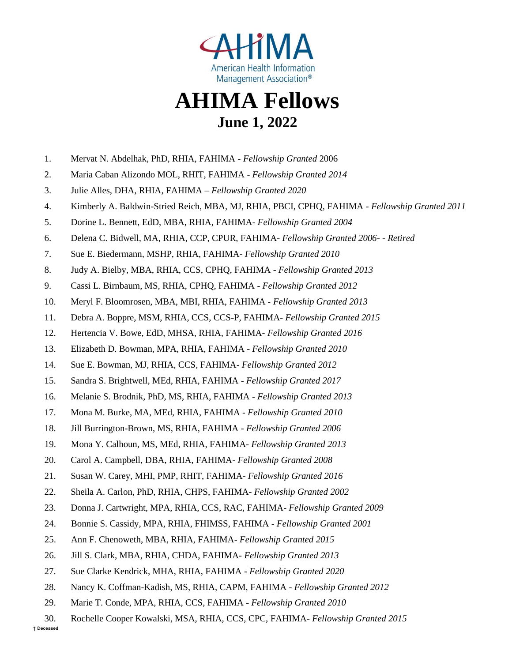

## **AHIMA Fellows June 1, 2022**

- 1. Mervat N. Abdelhak, PhD, RHIA, FAHIMA *Fellowship Granted* 2006
- 2. Maria Caban Alizondo MOL, RHIT, FAHIMA *Fellowship Granted 2014*
- 3. Julie Alles, DHA, RHIA, FAHIMA *Fellowship Granted 2020*
- 4. Kimberly A. Baldwin-Stried Reich, MBA, MJ, RHIA, PBCI, CPHQ, FAHIMA *Fellowship Granted 2011*
- 5. Dorine L. Bennett, EdD, MBA, RHIA, FAHIMA- *Fellowship Granted 2004*
- 6. Delena C. Bidwell, MA, RHIA, CCP, CPUR, FAHIMA- *Fellowship Granted 2006- - Retired*
- 7. Sue E. Biedermann, MSHP, RHIA, FAHIMA- *Fellowship Granted 2010*
- 8. Judy A. Bielby, MBA, RHIA, CCS, CPHQ, FAHIMA *Fellowship Granted 2013*
- 9. Cassi L. Birnbaum, MS, RHIA, CPHQ, FAHIMA *Fellowship Granted 2012*
- 10. Meryl F. Bloomrosen, MBA, MBI, RHIA, FAHIMA *Fellowship Granted 2013*
- 11. Debra A. Boppre, MSM, RHIA, CCS, CCS-P, FAHIMA- *Fellowship Granted 2015*
- 12. [Hertencia V. Bowe, EdD, MHSA, RHIA, FAHIMA-](http://engage.ahima.org/network/members/profile/?UserKey=bda41874-2e33-43fa-aa4f-46fd8a51573d) *Fellowship Granted 2016*
- 13. Elizabeth D. Bowman, MPA, RHIA, FAHIMA *Fellowship Granted 2010*
- 14. Sue E. Bowman, MJ, RHIA, CCS, FAHIMA- *Fellowship Granted 2012*
- 15. Sandra S. Brightwell, MEd, RHIA, FAHIMA *Fellowship Granted 2017*
- 16. Melanie S. Brodnik, PhD, MS, RHIA, FAHIMA *Fellowship Granted 2013*
- 17. Mona M. Burke, MA, MEd, RHIA, FAHIMA *Fellowship Granted 2010*
- 18. Jill Burrington-Brown, MS, RHIA, FAHIMA *Fellowship Granted 2006*
- 19. Mona Y. Calhoun, MS, MEd, RHIA, FAHIMA- *Fellowship Granted 2013*
- 20. Carol A. Campbell, DBA, RHIA, FAHIMA- *Fellowship Granted 2008*
- 21. Susan W. Carey, MHI, PMP, RHIT, FAHIMA- *Fellowship Granted 2016*
- 22. Sheila A. Carlon, PhD, RHIA, CHPS, FAHIMA- *Fellowship Granted 2002*
- 23. Donna J. Cartwright, MPA, RHIA, CCS, RAC, FAHIMA- *Fellowship Granted 2009*
- 24. Bonnie S. Cassidy, MPA, RHIA, FHIMSS, FAHIMA *Fellowship Granted 2001*
- 25. Ann F. Chenoweth, MBA, RHIA, FAHIMA- *Fellowship Granted 2015*
- 26. Jill S. Clark, MBA, RHIA, CHDA, FAHIMA- *Fellowship Granted 2013*
- 27. Sue Clarke Kendrick, MHA, RHIA, FAHIMA *Fellowship Granted 2020*
- 28. Nancy K. Coffman-Kadish, MS, RHIA, CAPM, FAHIMA *Fellowship Granted 2012*
- 29. Marie T. Conde, MPA, RHIA, CCS, FAHIMA *Fellowship Granted 2010*
- 30. Rochelle Cooper Kowalski, MSA, RHIA, CCS, CPC, FAHIMA- *Fellowship Granted 2015*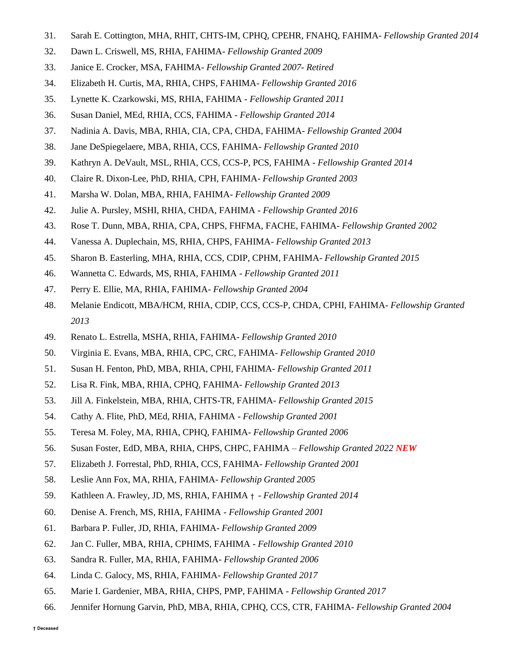- 31. Sarah E. Cottington, MHA, RHIT, CHTS-IM, CPHQ, CPEHR, FNAHQ, FAHIMA- *Fellowship Granted 2014*
- 32. Dawn L. Criswell, MS, RHIA, FAHIMA- *Fellowship Granted 2009*
- 33. Janice E. Crocker, MSA, FAHIMA- *Fellowship Granted 2007- Retired*
- 34. Elizabeth H. Curtis, MA, RHIA, CHPS, FAHIMA- *Fellowship Granted 2016*
- 35. Lynette K. Czarkowski, MS, RHIA, FAHIMA *Fellowship Granted 2011*
- 36. Susan Daniel, MEd, RHIA, CCS, FAHIMA *Fellowship Granted 2014*
- 37. Nadinia A. Davis, MBA, RHIA, CIA, CPA, CHDA, FAHIMA- *Fellowship Granted 2004*
- 38. Jane DeSpiegelaere, MBA, RHIA, CCS, FAHIMA- *Fellowship Granted 2010*
- 39. Kathryn A. DeVault, MSL, RHIA, CCS, CCS-P, PCS, FAHIMA *Fellowship Granted 2014*
- 40. Claire R. Dixon-Lee, PhD, RHIA, CPH, FAHIMA- *Fellowship Granted 2003*
- 41. Marsha W. Dolan, MBA, RHIA, FAHIMA- *Fellowship Granted 2009*
- 42. Julie A. Pursley, MSHI, RHIA, CHDA, FAHIMA *Fellowship Granted 2016*
- 43. Rose T. Dunn, MBA, RHIA, CPA, CHPS, FHFMA, FACHE, FAHIMA- *Fellowship Granted 2002*
- 44. Vanessa A. Duplechain, MS, RHIA, CHPS, FAHIMA- *Fellowship Granted 2013*
- 45. Sharon B. Easterling, MHA, RHIA, CCS, CDIP, CPHM, FAHIMA- *Fellowship Granted 2015*
- 46. Wannetta C. Edwards, MS, RHIA, FAHIMA *Fellowship Granted 2011*
- 47. Perry E. Ellie, MA, RHIA, FAHIMA- *Fellowship Granted 2004*
- 48. Melanie Endicott, MBA/HCM, RHIA, CDIP, CCS, CCS-P, CHDA, CPHI, FAHIMA- *Fellowship Granted 2013*
- 49. Renato L. Estrella, MSHA, RHIA, FAHIMA- *Fellowship Granted 2010*
- 50. Virginia E. Evans, MBA, RHIA, CPC, CRC, FAHIMA- *Fellowship Granted 2010*
- 51. Susan H. Fenton, PhD, MBA, RHIA, CPHI, FAHIMA- *Fellowship Granted 2011*
- 52. Lisa R. Fink, MBA, RHIA, CPHQ, FAHIMA- *Fellowship Granted 2013*
- 53. Jill A. Finkelstein, MBA, RHIA, CHTS-TR, FAHIMA- *Fellowship Granted 2015*
- 54. Cathy A. Flite, PhD, MEd, RHIA, FAHIMA *Fellowship Granted 2001*
- 55. Teresa M. Foley, MA, RHIA, CPHQ, FAHIMA- *Fellowship Granted 2006*
- 56. Susan Foster, EdD, MBA, RHIA, CHPS, CHPC, FAHIMA *Fellowship Granted 2022 NEW*
- 57. Elizabeth J. Forrestal, PhD, RHIA, CCS, FAHIMA- *Fellowship Granted 2001*
- 58. Leslie Ann Fox, MA, RHIA, FAHIMA- *Fellowship Granted 2005*
- 59. Kathleen A. Frawley, JD, MS, RHIA, FAHIMA † *Fellowship Granted 2014*
- 60. Denise A. French, MS, RHIA, FAHIMA *Fellowship Granted 2001*
- 61. Barbara P. Fuller, JD, RHIA, FAHIMA- *Fellowship Granted 2009*
- 62. Jan C. Fuller, MBA, RHIA, CPHIMS, FAHIMA *Fellowship Granted 2010*
- 63. Sandra R. Fuller, MA, RHIA, FAHIMA- *Fellowship Granted 2006*
- 64. Linda C. Galocy, MS, RHIA, FAHIMA- *Fellowship Granted 2017*
- 65. Marie I. Gardenier, MBA, RHIA, CHPS, PMP, FAHIMA *Fellowship Granted 2017*
- 66. Jennifer Hornung Garvin, PhD, MBA, RHIA, CPHQ, CCS, CTR, FAHIMA- *Fellowship Granted 2004*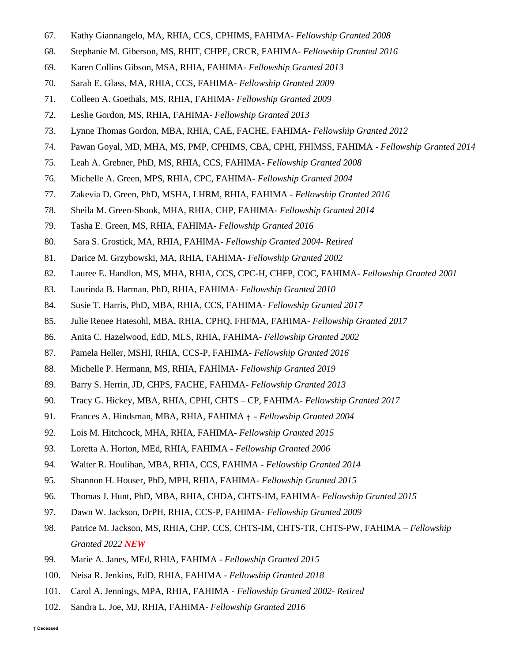- 67. Kathy Giannangelo, MA, RHIA, CCS, CPHIMS, FAHIMA- *Fellowship Granted 2008*
- 68. Stephanie M. Giberson, MS, RHIT, CHPE, CRCR, FAHIMA- *Fellowship Granted 2016*
- 69. Karen Collins Gibson, MSA, RHIA, FAHIMA- *Fellowship Granted 2013*
- 70. Sarah E. Glass, MA, RHIA, CCS, FAHIMA- *Fellowship Granted 2009*
- 71. Colleen A. Goethals, MS, RHIA, FAHIMA- *Fellowship Granted 2009*
- 72. Leslie Gordon, MS, RHIA, FAHIMA- *Fellowship Granted 2013*
- 73. Lynne Thomas Gordon, MBA, RHIA, CAE, FACHE, FAHIMA- *Fellowship Granted 2012*
- 74. Pawan Goyal, MD, MHA, MS, PMP, CPHIMS, CBA, CPHI, FHIMSS, FAHIMA *Fellowship Granted 2014*
- 75. Leah A. Grebner, PhD, MS, RHIA, CCS, FAHIMA- *Fellowship Granted 2008*
- 76. Michelle A. Green, MPS, RHIA, CPC, FAHIMA- *Fellowship Granted 2004*
- 77. Zakevia D. [Green, PhD, MSHA, LHRM, RHIA, FAHIMA -](http://engage.ahima.org/network/members/profile/?UserKey=05ed42ad-a08e-4d5a-a6ad-0dd2a08dd940) *Fellowship Granted 2016*
- 78. Sheila M. Green-Shook, MHA, RHIA, CHP, FAHIMA- *Fellowship Granted 2014*
- 79. Tasha E. Green, MS, RHIA, FAHIMA- *Fellowship Granted 2016*
- 80. Sara S. Grostick, MA, RHIA, FAHIMA- *Fellowship Granted 2004- Retired*
- 81. Darice M. Grzybowski, MA, RHIA, FAHIMA- *Fellowship Granted 2002*
- 82. Lauree E. Handlon, MS, MHA, RHIA, CCS, CPC-H, CHFP, COC, FAHIMA- *Fellowship Granted 2001*
- 83. Laurinda B. Harman, PhD, RHIA, FAHIMA- *Fellowship Granted 2010*
- 84. Susie T. Harris, PhD, MBA, RHIA, CCS, FAHIMA- *Fellowship Granted 2017*
- 85. Julie Renee Hatesohl, MBA, RHIA, CPHQ, FHFMA, FAHIMA- *Fellowship Granted 2017*
- 86. Anita C. Hazelwood, EdD, MLS, RHIA, FAHIMA- *Fellowship Granted 2002*
- 87. Pamela Heller, MSHI, RHIA, CCS-P, FAHIMA- *Fellowship Granted 2016*
- 88. Michelle P. Hermann, MS, RHIA, FAHIMA- *Fellowship Granted 2019*
- 89. Barry S. Herrin, JD, CHPS, FACHE, FAHIMA- *Fellowship Granted 2013*
- 90. Tracy G. Hickey, MBA, RHIA, CPHI, CHTS CP, FAHIMA- *Fellowship Granted 2017*
- 91. Frances A. Hindsman, MBA, RHIA, FAHIMA † *Fellowship Granted 2004*
- 92. Lois M. Hitchcock, MHA, RHIA, FAHIMA- *Fellowship Granted 2015*
- 93. Loretta A. Horton, MEd, RHIA, FAHIMA *Fellowship Granted 2006*
- 94. Walter R. Houlihan, MBA, RHIA, CCS, FAHIMA *Fellowship Granted 2014*
- 95. Shannon H. Houser, PhD, MPH, RHIA, FAHIMA- *Fellowship Granted 2015*
- 96. Thomas J. Hunt, PhD, MBA, RHIA, CHDA, CHTS-IM, FAHIMA- *Fellowship Granted 2015*
- 97. Dawn W. Jackson, DrPH, RHIA, CCS-P, FAHIMA- *Fellowship Granted 2009*
- 98. Patrice M. Jackson, MS, RHIA, CHP, CCS, CHTS-IM, CHTS-TR, CHTS-PW, FAHIMA *Fellowship Granted 2022 NEW*
- 99. Marie A. Janes, MEd, RHIA, FAHIMA *Fellowship Granted 2015*
- 100. Neisa R. Jenkins, EdD, RHIA, FAHIMA *Fellowship Granted 2018*
- 101. Carol A. Jennings, MPA, RHIA, FAHIMA *Fellowship Granted 2002- Retired*
- 102. Sandra L. Joe, MJ, RHIA, FAHIMA- *Fellowship Granted 2016*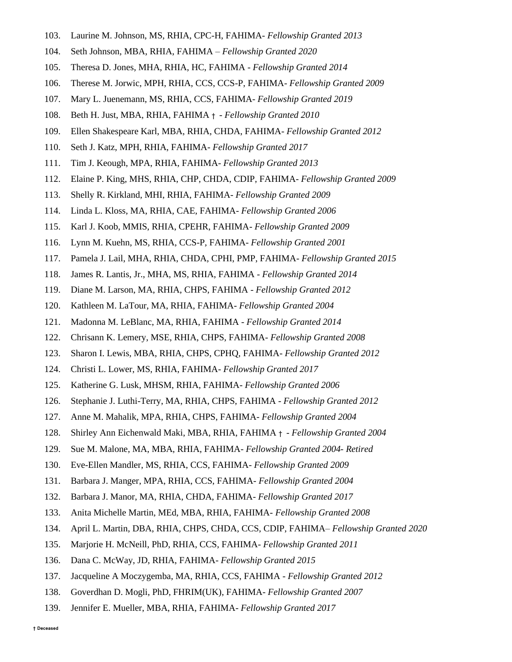- 103. Laurine M. Johnson, MS, RHIA, CPC-H, FAHIMA- *Fellowship Granted 2013*
- 104. Seth Johnson, MBA, RHIA, FAHIMA *Fellowship Granted 2020*
- 105. Theresa D. Jones, MHA, RHIA, HC, FAHIMA *Fellowship Granted 2014*
- 106. Therese M. Jorwic, MPH, RHIA, CCS, CCS-P, FAHIMA- *Fellowship Granted 2009*
- 107. Mary L. Juenemann, MS, RHIA, CCS, FAHIMA- *Fellowship Granted 2019*
- 108. Beth H. Just, MBA, RHIA, FAHIMA † *Fellowship Granted 2010*
- 109. Ellen Shakespeare Karl, MBA, RHIA, CHDA, FAHIMA- *Fellowship Granted 2012*
- 110. Seth J. Katz, MPH, RHIA, FAHIMA- *Fellowship Granted 2017*
- 111. Tim J. Keough, MPA, RHIA, FAHIMA- *Fellowship Granted 2013*
- 112. Elaine P. King, MHS, RHIA, CHP, CHDA, CDIP, FAHIMA- *Fellowship Granted 2009*
- 113. Shelly R. Kirkland, MHI, RHIA, FAHIMA- *Fellowship Granted 2009*
- 114. Linda L. Kloss, MA, RHIA, CAE, FAHIMA- *Fellowship Granted 2006*
- 115. Karl J. Koob, MMIS, RHIA, CPEHR, FAHIMA- *Fellowship Granted 2009*
- 116. Lynn M. Kuehn, MS, RHIA, CCS-P, FAHIMA- *Fellowship Granted 2001*
- 117. Pamela J. Lail, MHA, RHIA, CHDA, CPHI, PMP, FAHIMA- *Fellowship Granted 2015*
- 118. James R. Lantis, Jr., MHA, MS, RHIA, FAHIMA *Fellowship Granted 2014*
- 119. Diane M. Larson, MA, RHIA, CHPS, FAHIMA *Fellowship Granted 2012*
- 120. Kathleen M. LaTour, MA, RHIA, FAHIMA- *Fellowship Granted 2004*
- 121. Madonna M. LeBlanc, MA, RHIA, FAHIMA *Fellowship Granted 2014*
- 122. Chrisann K. Lemery, MSE, RHIA, CHPS, FAHIMA- *Fellowship Granted 2008*
- 123. Sharon I. Lewis, MBA, RHIA, CHPS, CPHQ, FAHIMA- *Fellowship Granted 2012*
- 124. Christi L. Lower, MS, RHIA, FAHIMA- *Fellowship Granted 2017*
- 125. Katherine G. Lusk, MHSM, RHIA, FAHIMA- *Fellowship Granted 2006*
- 126. Stephanie J. Luthi-Terry, MA, RHIA, CHPS, FAHIMA *Fellowship Granted 2012*
- 127. Anne M. Mahalik, MPA, RHIA, CHPS, FAHIMA- *Fellowship Granted 2004*
- 128. Shirley Ann Eichenwald Maki, MBA, RHIA, FAHIMA † *Fellowship Granted 2004*
- 129. Sue M. Malone, MA, MBA, RHIA, FAHIMA- *Fellowship Granted 2004- Retired*
- 130. Eve-Ellen Mandler, MS, RHIA, CCS, FAHIMA- *Fellowship Granted 2009*
- 131. Barbara J. Manger, MPA, RHIA, CCS, FAHIMA- *Fellowship Granted 2004*
- 132. Barbara J. Manor, MA, RHIA, CHDA, FAHIMA- *Fellowship Granted 2017*
- 133. Anita Michelle Martin, MEd, MBA, RHIA, FAHIMA- *Fellowship Granted 2008*
- 134. April L. Martin, DBA, RHIA, CHPS, CHDA, CCS, CDIP, FAHIMA– *Fellowship Granted 2020*
- 135. Marjorie H. McNeill, PhD, RHIA, CCS, FAHIMA- *Fellowship Granted 2011*
- 136. Dana C. McWay, JD, RHIA, FAHIMA- *Fellowship Granted 2015*
- 137. Jacqueline A Moczygemba, MA, RHIA, CCS, FAHIMA *Fellowship Granted 2012*
- 138. Goverdhan D. Mogli, PhD, FHRIM(UK), FAHIMA- *Fellowship Granted 2007*
- 139. Jennifer E. Mueller, MBA, RHIA, FAHIMA- *Fellowship Granted 2017*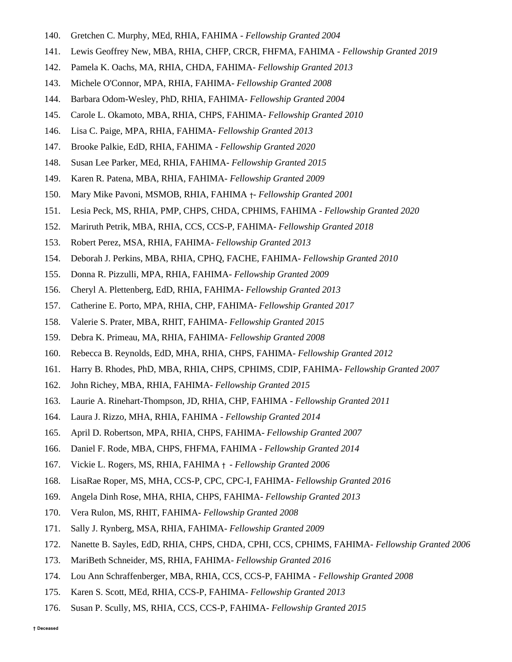- 140. Gretchen C. Murphy, MEd, RHIA, FAHIMA *Fellowship Granted 2004*
- 141. Lewis Geoffrey New, MBA, RHIA, CHFP, CRCR, FHFMA, FAHIMA *Fellowship Granted 2019*
- 142. Pamela K. Oachs, MA, RHIA, CHDA, FAHIMA- *Fellowship Granted 2013*
- 143. Michele O'Connor, MPA, RHIA, FAHIMA- *Fellowship Granted 2008*
- 144. Barbara Odom-Wesley, PhD, RHIA, FAHIMA- *Fellowship Granted 2004*
- 145. Carole L. Okamoto, MBA, RHIA, CHPS, FAHIMA- *Fellowship Granted 2010*
- 146. Lisa C. Paige, MPA, RHIA, FAHIMA- *Fellowship Granted 2013*
- 147. Brooke Palkie, EdD, RHIA, FAHIMA *Fellowship Granted 2020*
- 148. Susan Lee Parker, MEd, RHIA, FAHIMA- *Fellowship Granted 2015*
- 149. Karen R. Patena, MBA, RHIA, FAHIMA- *Fellowship Granted 2009*
- 150. Mary Mike Pavoni, MSMOB, RHIA, FAHIMA †- *Fellowship Granted 2001*
- 151. Lesia Peck, MS, RHIA, PMP, CHPS, CHDA, CPHIMS, FAHIMA *Fellowship Granted 2020*
- 152. Mariruth Petrik, MBA, RHIA, CCS, CCS-P, FAHIMA- *Fellowship Granted 2018*
- 153. Robert Perez, MSA, RHIA, FAHIMA- *Fellowship Granted 2013*
- 154. Deborah J. Perkins, MBA, RHIA, CPHQ, FACHE, FAHIMA- *Fellowship Granted 2010*
- 155. Donna R. Pizzulli, MPA, RHIA, FAHIMA- *Fellowship Granted 2009*
- 156. Cheryl A. Plettenberg, EdD, RHIA, FAHIMA- *Fellowship Granted 2013*
- 157. Catherine E. Porto, MPA, RHIA, CHP, FAHIMA- *Fellowship Granted 2017*
- 158. Valerie S. Prater, MBA, RHIT, FAHIMA- *Fellowship Granted 2015*
- 159. Debra K. Primeau, MA, RHIA, FAHIMA- *Fellowship Granted 2008*
- 160. Rebecca B. Reynolds, EdD, MHA, RHIA, CHPS, FAHIMA- *Fellowship Granted 2012*
- 161. Harry B. Rhodes, PhD, MBA, RHIA, CHPS, CPHIMS, CDIP, FAHIMA- *Fellowship Granted 2007*
- 162. John Richey, MBA, RHIA, FAHIMA- *Fellowship Granted 2015*
- 163. Laurie A. Rinehart-Thompson, JD, RHIA, CHP, FAHIMA *Fellowship Granted 2011*
- 164. Laura J. Rizzo, MHA, RHIA, FAHIMA *Fellowship Granted 2014*
- 165. April D. Robertson, MPA, RHIA, CHPS, FAHIMA- *Fellowship Granted 2007*
- 166. Daniel F. Rode, MBA, CHPS, FHFMA, FAHIMA *Fellowship Granted 2014*
- 167. Vickie L. Rogers, MS, RHIA, FAHIMA † *Fellowship Granted 2006*
- 168. LisaRae Roper, MS, MHA, CCS-P, CPC, CPC-I, FAHIMA- *Fellowship Granted 2016*
- 169. Angela Dinh Rose, MHA, RHIA, CHPS, FAHIMA- *Fellowship Granted 2013*
- 170. Vera Rulon, MS, RHIT, FAHIMA- *Fellowship Granted 2008*
- 171. Sally J. Rynberg, MSA, RHIA, FAHIMA- *Fellowship Granted 2009*
- 172. Nanette B. Sayles, EdD, RHIA, CHPS, CHDA, CPHI, CCS, CPHIMS, FAHIMA- *Fellowship Granted 2006*
- 173. MariBeth Schneider, MS, RHIA, FAHIMA- *Fellowship Granted 2016*
- 174. Lou Ann Schraffenberger, MBA, RHIA, CCS, CCS-P, FAHIMA *Fellowship Granted 2008*
- 175. Karen S. Scott, MEd, RHIA, CCS-P, FAHIMA- *Fellowship Granted 2013*
- 176. Susan P. Scully, MS, RHIA, CCS, CCS-P, FAHIMA- *Fellowship Granted 2015*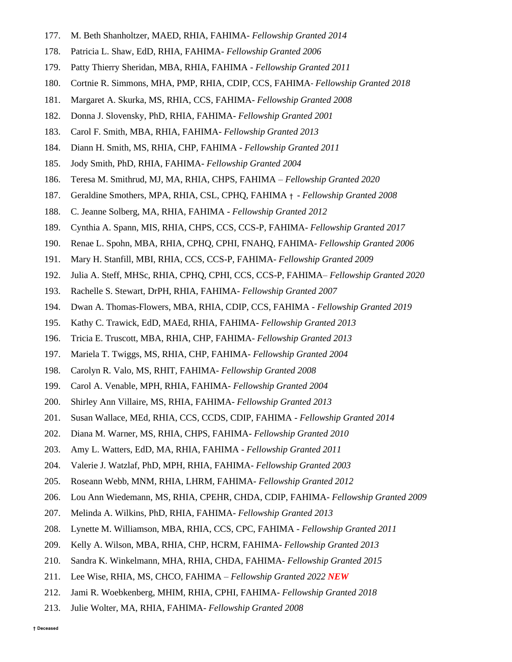- 177. M. Beth Shanholtzer, MAED, RHIA, FAHIMA- *Fellowship Granted 2014*
- 178. Patricia L. Shaw, EdD, RHIA, FAHIMA- *Fellowship Granted 2006*
- 179. Patty Thierry Sheridan, MBA, RHIA, FAHIMA *Fellowship Granted 2011*
- 180. Cortnie R. Simmons, MHA, PMP, RHIA, CDIP, CCS, FAHIMA- *Fellowship Granted 2018*
- 181. Margaret A. Skurka, MS, RHIA, CCS, FAHIMA- *Fellowship Granted 2008*
- 182. Donna J. Slovensky, PhD, RHIA, FAHIMA- *Fellowship Granted 2001*
- 183. Carol F. Smith, MBA, RHIA, FAHIMA- *Fellowship Granted 2013*
- 184. Diann H. Smith, MS, RHIA, CHP, FAHIMA *Fellowship Granted 2011*
- 185. Jody Smith, PhD, RHIA, FAHIMA- *Fellowship Granted 2004*
- 186. Teresa M. Smithrud, MJ, MA, RHIA, CHPS, FAHIMA *Fellowship Granted 2020*
- 187. Geraldine Smothers, MPA, RHIA, CSL, CPHQ, FAHIMA † *Fellowship Granted 2008*
- 188. C. Jeanne Solberg, MA, RHIA, FAHIMA *Fellowship Granted 2012*
- 189. Cynthia A. Spann, MIS, RHIA, CHPS, CCS, CCS-P, FAHIMA- *Fellowship Granted 2017*
- 190. Renae L. Spohn, MBA, RHIA, CPHQ, CPHI, FNAHQ, FAHIMA- *Fellowship Granted 2006*
- 191. Mary H. Stanfill, MBI, RHIA, CCS, CCS-P, FAHIMA- *Fellowship Granted 2009*
- 192. Julia A. Steff, MHSc, RHIA, CPHQ, CPHI, CCS, CCS-P, FAHIMA– *Fellowship Granted 2020*
- 193. Rachelle S. Stewart, DrPH, RHIA, FAHIMA- *Fellowship Granted 2007*
- 194. Dwan A. Thomas-Flowers, MBA, RHIA, CDIP, CCS, FAHIMA *Fellowship Granted 2019*
- 195. Kathy C. Trawick, EdD, MAEd, RHIA, FAHIMA- *Fellowship Granted 2013*
- 196. Tricia E. Truscott, MBA, RHIA, CHP, FAHIMA- *Fellowship Granted 2013*
- 197. Mariela T. Twiggs, MS, RHIA, CHP, FAHIMA- *Fellowship Granted 2004*
- 198. Carolyn R. Valo, MS, RHIT, FAHIMA- *Fellowship Granted 2008*
- 199. Carol A. Venable, MPH, RHIA, FAHIMA- *Fellowship Granted 2004*
- 200. Shirley Ann Villaire, MS, RHIA, FAHIMA- *Fellowship Granted 2013*
- 201. Susan Wallace, MEd, RHIA, CCS, CCDS, CDIP, FAHIMA *Fellowship Granted 2014*
- 202. Diana M. Warner, MS, RHIA, CHPS, FAHIMA- *Fellowship Granted 2010*
- 203. Amy L. Watters, EdD, MA, RHIA, FAHIMA *Fellowship Granted 2011*
- 204. Valerie J. Watzlaf, PhD, MPH, RHIA, FAHIMA- *Fellowship Granted 2003*
- 205. Roseann Webb, MNM, RHIA, LHRM, FAHIMA- *Fellowship Granted 2012*
- 206. Lou Ann Wiedemann, MS, RHIA, CPEHR, CHDA, CDIP, FAHIMA- *Fellowship Granted 2009*
- 207. Melinda A. Wilkins, PhD, RHIA, FAHIMA- *Fellowship Granted 2013*
- 208. Lynette M. Williamson, MBA, RHIA, CCS, CPC, FAHIMA *Fellowship Granted 2011*
- 209. Kelly A. Wilson, MBA, RHIA, CHP, HCRM, FAHIMA- *Fellowship Granted 2013*
- 210. Sandra K. Winkelmann, MHA, RHIA, CHDA, FAHIMA- *Fellowship Granted 2015*
- 211. Lee Wise, RHIA, MS, CHCO, FAHIMA *Fellowship Granted 2022 NEW*
- 212. Jami R. Woebkenberg, MHIM, RHIA, CPHI, FAHIMA- *Fellowship Granted 2018*
- 213. Julie Wolter, MA, RHIA, FAHIMA- *Fellowship Granted 2008*